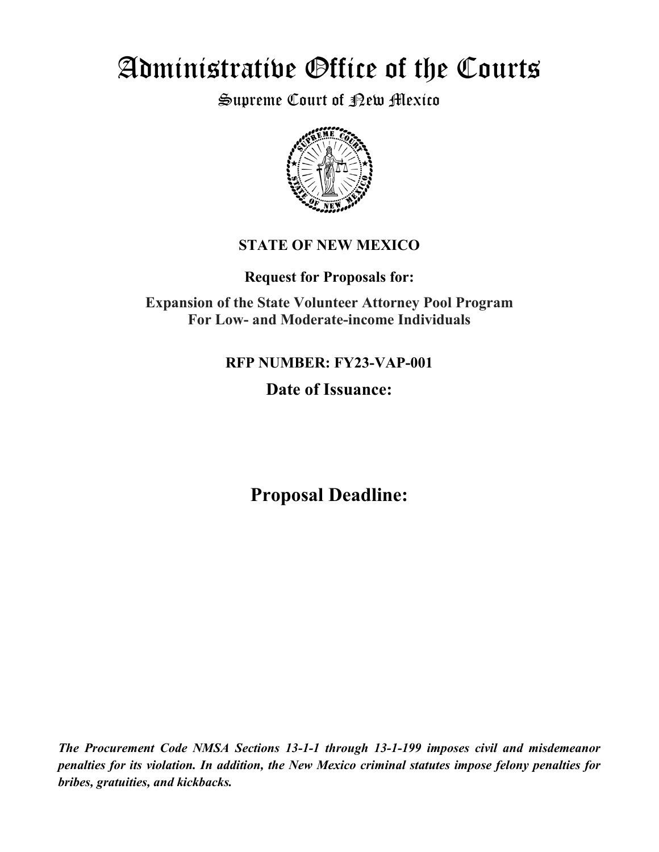# Administrative Office of the Courts

Supreme Court of <sub>R</sub>ew Mexico



# **STATE OF NEW MEXICO**

**Request for Proposals for:**

**Expansion of the State Volunteer Attorney Pool Program For Low- and Moderate-income Individuals**

# **RFP NUMBER: FY23-VAP-001**

# **Date of Issuance:**

**Proposal Deadline:**

*The Procurement Code NMSA Sections 13-1-1 through 13-1-199 imposes civil and misdemeanor penalties for its violation. In addition, the New Mexico criminal statutes impose felony penalties for bribes, gratuities, and kickbacks.*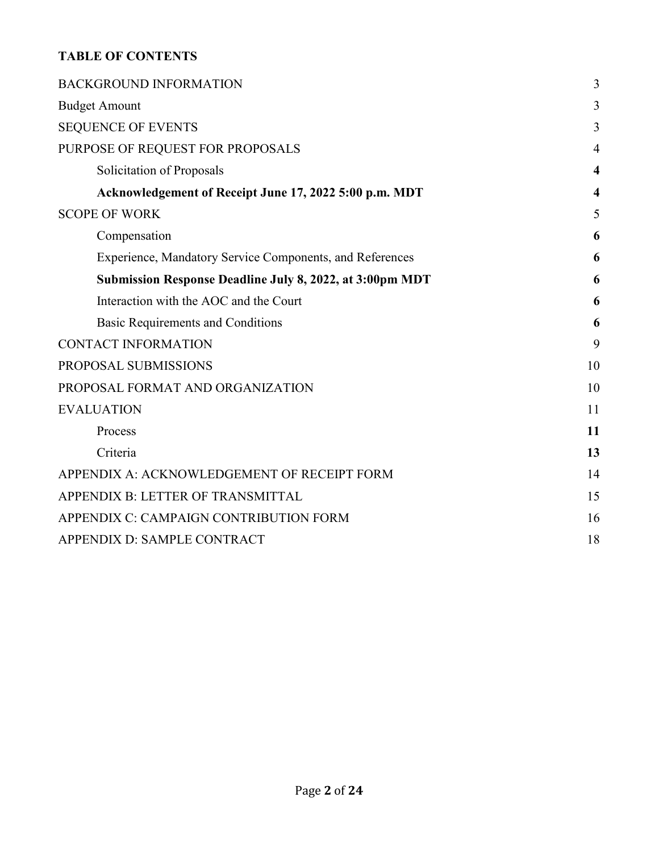### **TABLE OF CONTENTS**

| <b>BACKGROUND INFORMATION</b>                                   | 3                       |
|-----------------------------------------------------------------|-------------------------|
| <b>Budget Amount</b>                                            | 3                       |
| <b>SEQUENCE OF EVENTS</b>                                       | 3                       |
| PURPOSE OF REQUEST FOR PROPOSALS                                | $\overline{4}$          |
| Solicitation of Proposals                                       | $\boldsymbol{4}$        |
| Acknowledgement of Receipt June 17, 2022 5:00 p.m. MDT          | $\overline{\mathbf{4}}$ |
| <b>SCOPE OF WORK</b>                                            | 5                       |
| Compensation                                                    | 6                       |
| Experience, Mandatory Service Components, and References        | 6                       |
| <b>Submission Response Deadline July 8, 2022, at 3:00pm MDT</b> | 6                       |
| Interaction with the AOC and the Court                          | 6                       |
| Basic Requirements and Conditions                               | 6                       |
| <b>CONTACT INFORMATION</b>                                      | 9                       |
| PROPOSAL SUBMISSIONS                                            | 10                      |
| PROPOSAL FORMAT AND ORGANIZATION                                | 10                      |
| <b>EVALUATION</b>                                               | 11                      |
| Process                                                         | 11                      |
| Criteria                                                        | 13                      |
| APPENDIX A: ACKNOWLEDGEMENT OF RECEIPT FORM                     | 14                      |
| APPENDIX B: LETTER OF TRANSMITTAL                               | 15                      |
| APPENDIX C: CAMPAIGN CONTRIBUTION FORM                          | 16                      |
| APPENDIX D: SAMPLE CONTRACT                                     | 18                      |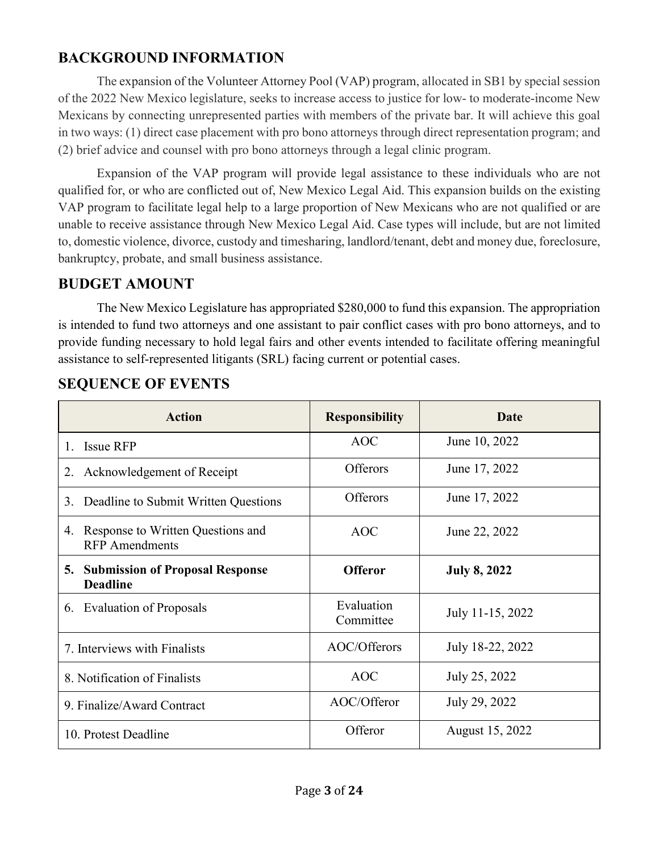# <span id="page-2-0"></span>**BACKGROUND INFORMATION**

The expansion of the Volunteer Attorney Pool (VAP) program, allocated in SB1 by special session of the 2022 New Mexico legislature, seeks to increase access to justice for low- to moderate-income New Mexicans by connecting unrepresented parties with members of the private bar. It will achieve this goal in two ways: (1) direct case placement with pro bono attorneys through direct representation program; and (2) brief advice and counsel with pro bono attorneys through a legal clinic program.

Expansion of the VAP program will provide legal assistance to these individuals who are not qualified for, or who are conflicted out of, New Mexico Legal Aid. This expansion builds on the existing VAP program to facilitate legal help to a large proportion of New Mexicans who are not qualified or are unable to receive assistance through New Mexico Legal Aid. Case types will include, but are not limited to, domestic violence, divorce, custody and timesharing, landlord/tenant, debt and money due, foreclosure, bankruptcy, probate, and small business assistance.

# <span id="page-2-1"></span>**BUDGET AMOUNT**

The New Mexico Legislature has appropriated \$280,000 to fund this expansion. The appropriation is intended to fund two attorneys and one assistant to pair conflict cases with pro bono attorneys, and to provide funding necessary to hold legal fairs and other events intended to facilitate offering meaningful assistance to self-represented litigants (SRL) facing current or potential cases.

| <b>Action</b>                                                    | <b>Responsibility</b>   | Date                |
|------------------------------------------------------------------|-------------------------|---------------------|
| <b>Issue RFP</b><br>1.                                           | <b>AOC</b>              | June 10, 2022       |
| Acknowledgement of Receipt<br>2.                                 | <b>Offerors</b>         | June 17, 2022       |
| Deadline to Submit Written Questions<br>3.                       | Offerors                | June 17, 2022       |
| Response to Written Questions and<br>4.<br><b>RFP</b> Amendments | <b>AOC</b>              | June 22, 2022       |
| <b>Submission of Proposal Response</b><br>5.<br><b>Deadline</b>  | <b>Offeror</b>          | <b>July 8, 2022</b> |
| 6. Evaluation of Proposals                                       | Evaluation<br>Committee | July 11-15, 2022    |
| 7. Interviews with Finalists                                     | AOC/Offerors            | July 18-22, 2022    |
| 8. Notification of Finalists                                     | <b>AOC</b>              | July 25, 2022       |
| 9. Finalize/Award Contract                                       | AOC/Offeror             | July 29, 2022       |
| 10. Protest Deadline                                             | Offeror                 | August 15, 2022     |

# <span id="page-2-2"></span>**SEQUENCE OF EVENTS**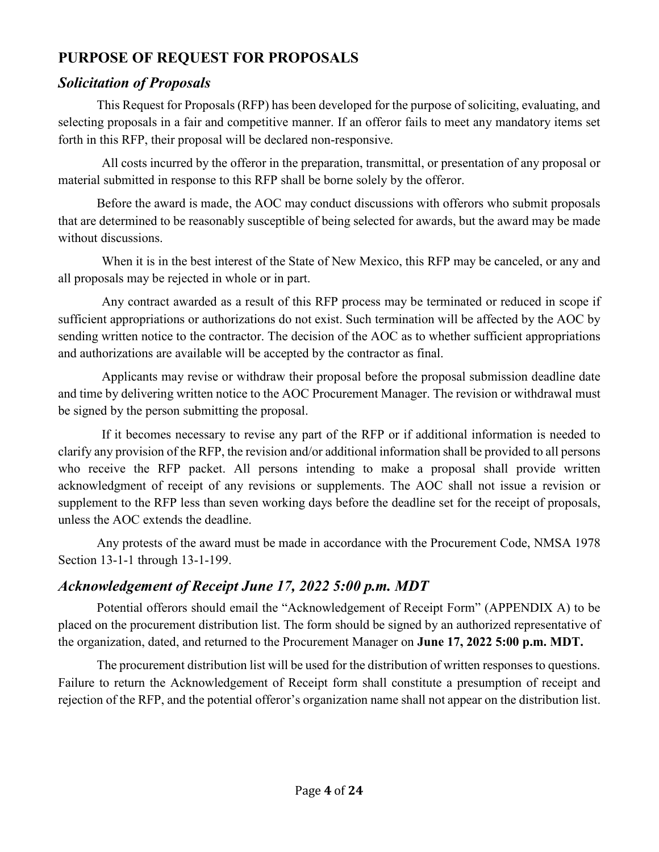# <span id="page-3-0"></span>**PURPOSE OF REQUEST FOR PROPOSALS**

### <span id="page-3-1"></span>*Solicitation of Proposals*

This Request for Proposals (RFP) has been developed for the purpose of soliciting, evaluating, and selecting proposals in a fair and competitive manner. If an offeror fails to meet any mandatory items set forth in this RFP, their proposal will be declared non-responsive.

All costs incurred by the offeror in the preparation, transmittal, or presentation of any proposal or material submitted in response to this RFP shall be borne solely by the offeror.

Before the award is made, the AOC may conduct discussions with offerors who submit proposals that are determined to be reasonably susceptible of being selected for awards, but the award may be made without discussions.

When it is in the best interest of the State of New Mexico, this RFP may be canceled, or any and all proposals may be rejected in whole or in part.

Any contract awarded as a result of this RFP process may be terminated or reduced in scope if sufficient appropriations or authorizations do not exist. Such termination will be affected by the AOC by sending written notice to the contractor. The decision of the AOC as to whether sufficient appropriations and authorizations are available will be accepted by the contractor as final.

Applicants may revise or withdraw their proposal before the proposal submission deadline date and time by delivering written notice to the AOC Procurement Manager. The revision or withdrawal must be signed by the person submitting the proposal.

If it becomes necessary to revise any part of the RFP or if additional information is needed to clarify any provision of the RFP, the revision and/or additional information shall be provided to all persons who receive the RFP packet. All persons intending to make a proposal shall provide written acknowledgment of receipt of any revisions or supplements. The AOC shall not issue a revision or supplement to the RFP less than seven working days before the deadline set for the receipt of proposals, unless the AOC extends the deadline.

Any protests of the award must be made in accordance with the Procurement Code, NMSA 1978 Section 13-1-1 through 13-1-199.

# <span id="page-3-2"></span>*Acknowledgement of Receipt June 17, 2022 5:00 p.m. MDT*

Potential offerors should email the "Acknowledgement of Receipt Form" (APPENDIX A) to be placed on the procurement distribution list. The form should be signed by an authorized representative of the organization, dated, and returned to the Procurement Manager on **June 17, 2022 5:00 p.m. MDT.**

The procurement distribution list will be used for the distribution of written responses to questions. Failure to return the Acknowledgement of Receipt form shall constitute a presumption of receipt and rejection of the RFP, and the potential offeror's organization name shall not appear on the distribution list.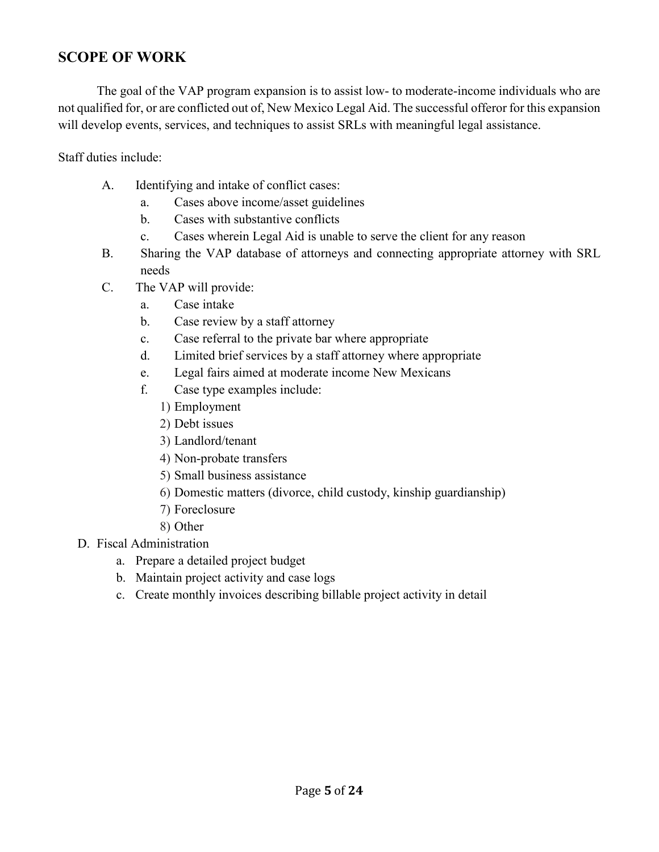### <span id="page-4-0"></span>**SCOPE OF WORK**

The goal of the VAP program expansion is to assist low- to moderate-income individuals who are not qualified for, or are conflicted out of, New Mexico Legal Aid. The successful offeror for this expansion will develop events, services, and techniques to assist SRLs with meaningful legal assistance.

Staff duties include:

- A. Identifying and intake of conflict cases:
	- a. Cases above income/asset guidelines
	- b. Cases with substantive conflicts
	- c. Cases wherein Legal Aid is unable to serve the client for any reason
- B. Sharing the VAP database of attorneys and connecting appropriate attorney with SRL needs
- C. The VAP will provide:
	- a. Case intake
	- b. Case review by a staff attorney
	- c. Case referral to the private bar where appropriate
	- d. Limited brief services by a staff attorney where appropriate
	- e. Legal fairs aimed at moderate income New Mexicans
	- f. Case type examples include:
		- 1) Employment
		- 2) Debt issues
		- 3) Landlord/tenant
		- 4) Non-probate transfers
		- 5) Small business assistance
		- 6) Domestic matters (divorce, child custody, kinship guardianship)
		- 7) Foreclosure
		- 8) Other
- D. Fiscal Administration
	- a. Prepare a detailed project budget
	- b. Maintain project activity and case logs
	- c. Create monthly invoices describing billable project activity in detail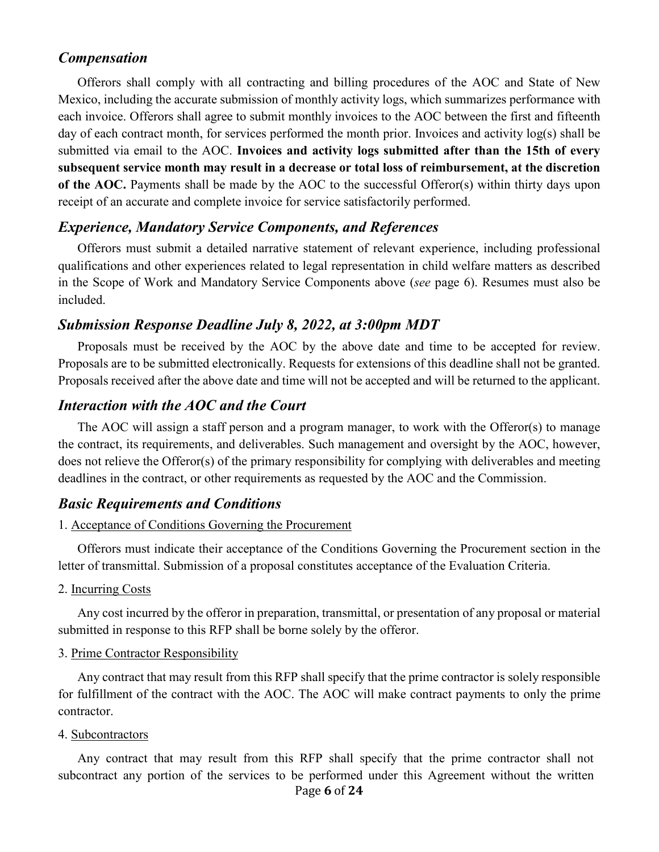### <span id="page-5-0"></span>*Compensation*

Offerors shall comply with all contracting and billing procedures of the AOC and State of New Mexico, including the accurate submission of monthly activity logs, which summarizes performance with each invoice. Offerors shall agree to submit monthly invoices to the AOC between the first and fifteenth day of each contract month, for services performed the month prior. Invoices and activity log(s) shall be submitted via email to the AOC. **Invoices and activity logs submitted after than the 15th of every subsequent service month may result in a decrease or total loss of reimbursement, at the discretion of the AOC.** Payments shall be made by the AOC to the successful Offeror(s) within thirty days upon receipt of an accurate and complete invoice for service satisfactorily performed.

### <span id="page-5-1"></span>*Experience, Mandatory Service Components, and References*

Offerors must submit a detailed narrative statement of relevant experience, including professional qualifications and other experiences related to legal representation in child welfare matters as described in the Scope of Work and Mandatory Service Components above (*see* page 6). Resumes must also be included.

### <span id="page-5-2"></span>*Submission Response Deadline July 8, 2022, at 3:00pm MDT*

Proposals must be received by the AOC by the above date and time to be accepted for review. Proposals are to be submitted electronically. Requests for extensions of this deadline shall not be granted. Proposals received after the above date and time will not be accepted and will be returned to the applicant.

### <span id="page-5-3"></span>*Interaction with the AOC and the Court*

The AOC will assign a staff person and a program manager, to work with the Offeror(s) to manage the contract, its requirements, and deliverables. Such management and oversight by the AOC, however, does not relieve the Offeror(s) of the primary responsibility for complying with deliverables and meeting deadlines in the contract, or other requirements as requested by the AOC and the Commission.

### <span id="page-5-4"></span>*Basic Requirements and Conditions*

#### 1. Acceptance of Conditions Governing the Procurement

Offerors must indicate their acceptance of the Conditions Governing the Procurement section in the letter of transmittal. Submission of a proposal constitutes acceptance of the Evaluation Criteria.

#### 2. Incurring Costs

Any cost incurred by the offeror in preparation, transmittal, or presentation of any proposal or material submitted in response to this RFP shall be borne solely by the offeror.

#### 3. Prime Contractor Responsibility

Any contract that may result from this RFP shall specify that the prime contractor is solely responsible for fulfillment of the contract with the AOC. The AOC will make contract payments to only the prime contractor.

#### 4. Subcontractors

Page **6** of **24** Any contract that may result from this RFP shall specify that the prime contractor shall not subcontract any portion of the services to be performed under this Agreement without the written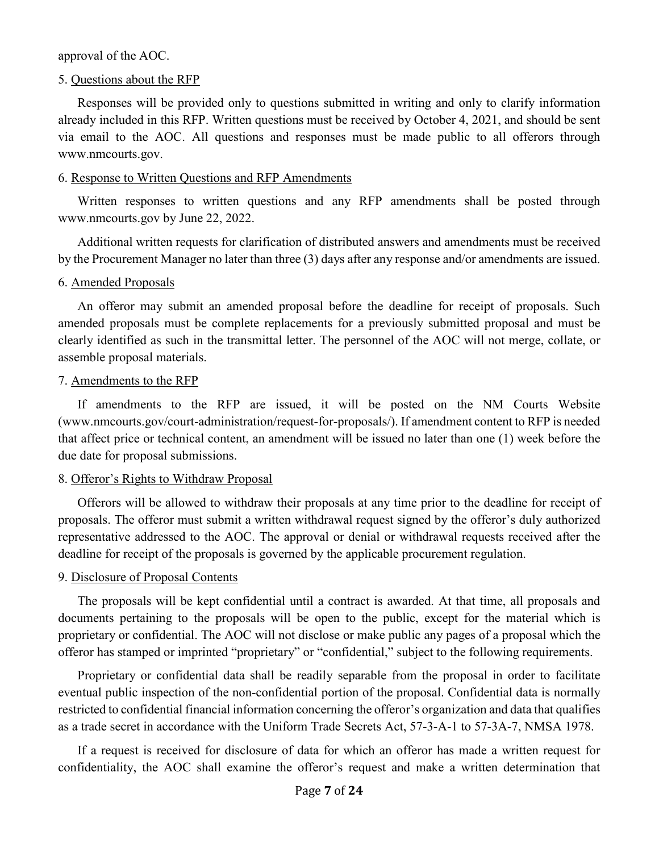approval of the AOC.

#### 5. Questions about the RFP

Responses will be provided only to questions submitted in writing and only to clarify information already included in this RFP. Written questions must be received by October 4, 2021, and should be sent via email to the AOC. All questions and responses must be made public to all offerors through www.nmcourts.gov.

#### 6. Response to Written Questions and RFP Amendments

Written responses to written questions and any RFP amendments shall be posted through www.nmcourts.gov by June 22, 2022.

Additional written requests for clarification of distributed answers and amendments must be received by the Procurement Manager no later than three (3) days after any response and/or amendments are issued.

#### 6. Amended Proposals

An offeror may submit an amended proposal before the deadline for receipt of proposals. Such amended proposals must be complete replacements for a previously submitted proposal and must be clearly identified as such in the transmittal letter. The personnel of the AOC will not merge, collate, or assemble proposal materials.

#### 7. Amendments to the RFP

If amendments to the RFP are issued, it will be posted on the NM Courts Website (www.nmcourts.gov/court-administration/request-for-proposals/). If amendment content to RFP is needed that affect price or technical content, an amendment will be issued no later than one (1) week before the due date for proposal submissions.

### 8. Offeror's Rights to Withdraw Proposal

Offerors will be allowed to withdraw their proposals at any time prior to the deadline for receipt of proposals. The offeror must submit a written withdrawal request signed by the offeror's duly authorized representative addressed to the AOC. The approval or denial or withdrawal requests received after the deadline for receipt of the proposals is governed by the applicable procurement regulation.

### 9. Disclosure of Proposal Contents

The proposals will be kept confidential until a contract is awarded. At that time, all proposals and documents pertaining to the proposals will be open to the public, except for the material which is proprietary or confidential. The AOC will not disclose or make public any pages of a proposal which the offeror has stamped or imprinted "proprietary" or "confidential," subject to the following requirements.

Proprietary or confidential data shall be readily separable from the proposal in order to facilitate eventual public inspection of the non-confidential portion of the proposal. Confidential data is normally restricted to confidential financial information concerning the offeror's organization and data that qualifies as a trade secret in accordance with the Uniform Trade Secrets Act, 57-3-A-1 to 57-3A-7, NMSA 1978.

If a request is received for disclosure of data for which an offeror has made a written request for confidentiality, the AOC shall examine the offeror's request and make a written determination that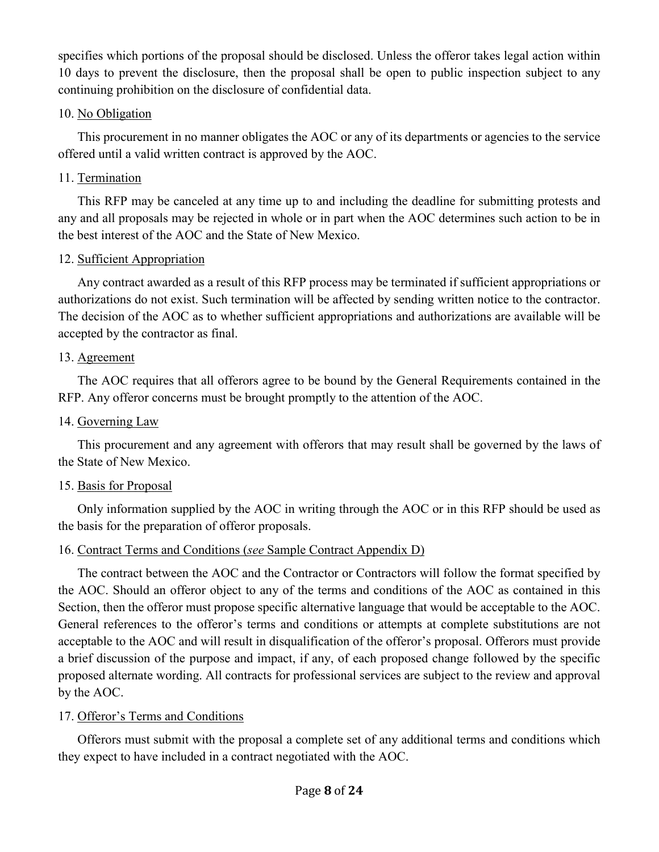specifies which portions of the proposal should be disclosed. Unless the offeror takes legal action within 10 days to prevent the disclosure, then the proposal shall be open to public inspection subject to any continuing prohibition on the disclosure of confidential data.

### 10. No Obligation

This procurement in no manner obligates the AOC or any of its departments or agencies to the service offered until a valid written contract is approved by the AOC.

### 11. Termination

This RFP may be canceled at any time up to and including the deadline for submitting protests and any and all proposals may be rejected in whole or in part when the AOC determines such action to be in the best interest of the AOC and the State of New Mexico.

### 12. Sufficient Appropriation

Any contract awarded as a result of this RFP process may be terminated if sufficient appropriations or authorizations do not exist. Such termination will be affected by sending written notice to the contractor. The decision of the AOC as to whether sufficient appropriations and authorizations are available will be accepted by the contractor as final.

### 13. Agreement

The AOC requires that all offerors agree to be bound by the General Requirements contained in the RFP. Any offeror concerns must be brought promptly to the attention of the AOC.

### 14. Governing Law

This procurement and any agreement with offerors that may result shall be governed by the laws of the State of New Mexico.

### 15. Basis for Proposal

Only information supplied by the AOC in writing through the AOC or in this RFP should be used as the basis for the preparation of offeror proposals.

### 16. Contract Terms and Conditions (*see* Sample Contract Appendix D)

The contract between the AOC and the Contractor or Contractors will follow the format specified by the AOC. Should an offeror object to any of the terms and conditions of the AOC as contained in this Section, then the offeror must propose specific alternative language that would be acceptable to the AOC. General references to the offeror's terms and conditions or attempts at complete substitutions are not acceptable to the AOC and will result in disqualification of the offeror's proposal. Offerors must provide a brief discussion of the purpose and impact, if any, of each proposed change followed by the specific proposed alternate wording. All contracts for professional services are subject to the review and approval by the AOC.

### 17. Offeror's Terms and Conditions

Offerors must submit with the proposal a complete set of any additional terms and conditions which they expect to have included in a contract negotiated with the AOC.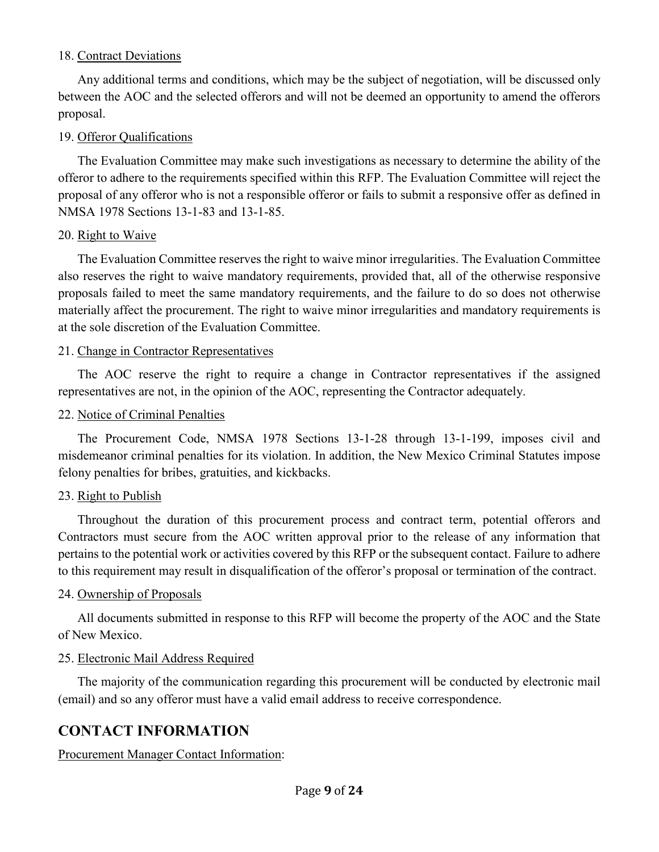### 18. Contract Deviations

Any additional terms and conditions, which may be the subject of negotiation, will be discussed only between the AOC and the selected offerors and will not be deemed an opportunity to amend the offerors proposal.

### 19. Offeror Qualifications

The Evaluation Committee may make such investigations as necessary to determine the ability of the offeror to adhere to the requirements specified within this RFP. The Evaluation Committee will reject the proposal of any offeror who is not a responsible offeror or fails to submit a responsive offer as defined in NMSA 1978 Sections 13-1-83 and 13-1-85.

### 20. Right to Waive

The Evaluation Committee reserves the right to waive minor irregularities. The Evaluation Committee also reserves the right to waive mandatory requirements, provided that, all of the otherwise responsive proposals failed to meet the same mandatory requirements, and the failure to do so does not otherwise materially affect the procurement. The right to waive minor irregularities and mandatory requirements is at the sole discretion of the Evaluation Committee.

### 21. Change in Contractor Representatives

The AOC reserve the right to require a change in Contractor representatives if the assigned representatives are not, in the opinion of the AOC, representing the Contractor adequately.

### 22. Notice of Criminal Penalties

The Procurement Code, NMSA 1978 Sections 13-1-28 through 13-1-199, imposes civil and misdemeanor criminal penalties for its violation. In addition, the New Mexico Criminal Statutes impose felony penalties for bribes, gratuities, and kickbacks.

### 23. Right to Publish

Throughout the duration of this procurement process and contract term, potential offerors and Contractors must secure from the AOC written approval prior to the release of any information that pertains to the potential work or activities covered by this RFP or the subsequent contact. Failure to adhere to this requirement may result in disqualification of the offeror's proposal or termination of the contract.

### 24. Ownership of Proposals

All documents submitted in response to this RFP will become the property of the AOC and the State of New Mexico.

### 25. Electronic Mail Address Required

The majority of the communication regarding this procurement will be conducted by electronic mail (email) and so any offeror must have a valid email address to receive correspondence.

# <span id="page-8-0"></span>**CONTACT INFORMATION**

Procurement Manager Contact Information: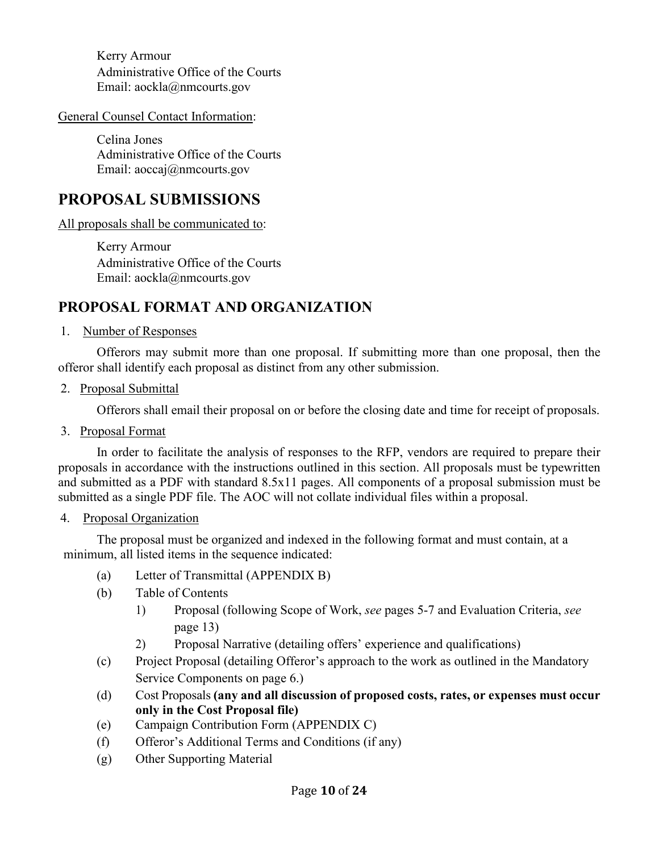Kerry Armour Administrative Office of the Courts Email: aockla@nmcourts.gov

General Counsel Contact Information:

Celina Jones Administrative Office of the Courts Email: aoccaj@nmcourts.gov

# <span id="page-9-0"></span>**PROPOSAL SUBMISSIONS**

All proposals shall be communicated to:

Kerry Armour Administrative Office of the Courts Email: aockla@nmcourts.gov

# <span id="page-9-1"></span>**PROPOSAL FORMAT AND ORGANIZATION**

#### 1. Number of Responses

Offerors may submit more than one proposal. If submitting more than one proposal, then the offeror shall identify each proposal as distinct from any other submission.

2. Proposal Submittal

Offerors shall email their proposal on or before the closing date and time for receipt of proposals.

3. Proposal Format

In order to facilitate the analysis of responses to the RFP, vendors are required to prepare their proposals in accordance with the instructions outlined in this section. All proposals must be typewritten and submitted as a PDF with standard 8.5x11 pages. All components of a proposal submission must be submitted as a single PDF file. The AOC will not collate individual files within a proposal.

### 4. Proposal Organization

The proposal must be organized and indexed in the following format and must contain, at a minimum, all listed items in the sequence indicated:

- (a) Letter of Transmittal (APPENDIX B)
- (b) Table of Contents
	- 1) Proposal (following Scope of Work, *see* pages 5-7 and Evaluation Criteria, *see* page 13)
	- 2) Proposal Narrative (detailing offers' experience and qualifications)
- (c) Project Proposal (detailing Offeror's approach to the work as outlined in the Mandatory Service Components on page 6.)
- (d) Cost Proposals **(any and all discussion of proposed costs, rates, or expenses must occur only in the Cost Proposal file)**
- (e) Campaign Contribution Form (APPENDIX C)
- (f) Offeror's Additional Terms and Conditions (if any)
- (g) Other Supporting Material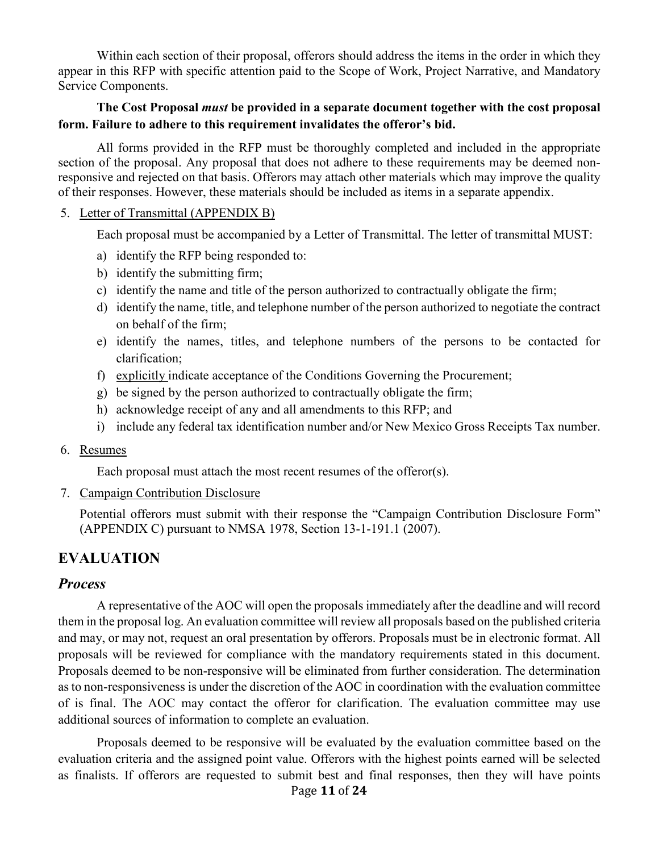Within each section of their proposal, offerors should address the items in the order in which they appear in this RFP with specific attention paid to the Scope of Work, Project Narrative, and Mandatory Service Components.

### **The Cost Proposal** *must* **be provided in a separate document together with the cost proposal form. Failure to adhere to this requirement invalidates the offeror's bid.**

All forms provided in the RFP must be thoroughly completed and included in the appropriate section of the proposal. Any proposal that does not adhere to these requirements may be deemed nonresponsive and rejected on that basis. Offerors may attach other materials which may improve the quality of their responses. However, these materials should be included as items in a separate appendix.

#### 5. Letter of Transmittal (APPENDIX B)

Each proposal must be accompanied by a Letter of Transmittal. The letter of transmittal MUST:

- a) identify the RFP being responded to:
- b) identify the submitting firm;
- c) identify the name and title of the person authorized to contractually obligate the firm;
- d) identify the name, title, and telephone number of the person authorized to negotiate the contract on behalf of the firm;
- e) identify the names, titles, and telephone numbers of the persons to be contacted for clarification;
- f) explicitly indicate acceptance of the Conditions Governing the Procurement;
- g) be signed by the person authorized to contractually obligate the firm;
- h) acknowledge receipt of any and all amendments to this RFP; and
- i) include any federal tax identification number and/or New Mexico Gross Receipts Tax number.
- 6. Resumes

Each proposal must attach the most recent resumes of the offeror(s).

7. Campaign Contribution Disclosure

Potential offerors must submit with their response the "Campaign Contribution Disclosure Form" (APPENDIX C) pursuant to NMSA 1978, Section 13-1-191.1 (2007).

### <span id="page-10-0"></span>**EVALUATION**

### <span id="page-10-1"></span>*Process*

A representative of the AOC will open the proposals immediately after the deadline and will record them in the proposal log. An evaluation committee will review all proposals based on the published criteria and may, or may not, request an oral presentation by offerors. Proposals must be in electronic format. All proposals will be reviewed for compliance with the mandatory requirements stated in this document. Proposals deemed to be non-responsive will be eliminated from further consideration. The determination as to non-responsiveness is under the discretion of the AOC in coordination with the evaluation committee of is final. The AOC may contact the offeror for clarification. The evaluation committee may use additional sources of information to complete an evaluation.

Page **11** of **24** Proposals deemed to be responsive will be evaluated by the evaluation committee based on the evaluation criteria and the assigned point value. Offerors with the highest points earned will be selected as finalists. If offerors are requested to submit best and final responses, then they will have points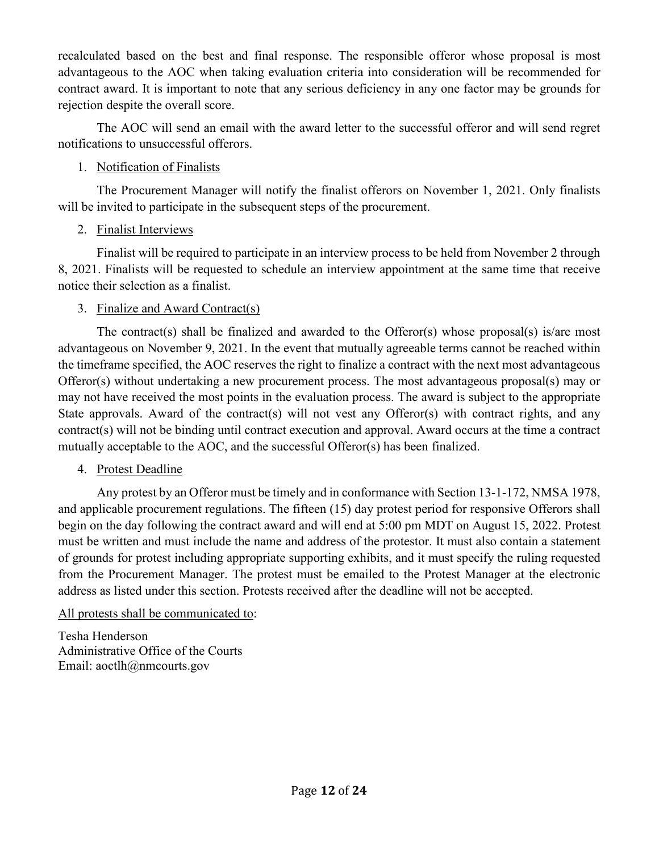recalculated based on the best and final response. The responsible offeror whose proposal is most advantageous to the AOC when taking evaluation criteria into consideration will be recommended for contract award. It is important to note that any serious deficiency in any one factor may be grounds for rejection despite the overall score.

The AOC will send an email with the award letter to the successful offeror and will send regret notifications to unsuccessful offerors.

### 1. Notification of Finalists

The Procurement Manager will notify the finalist offerors on November 1, 2021. Only finalists will be invited to participate in the subsequent steps of the procurement.

### 2. Finalist Interviews

Finalist will be required to participate in an interview process to be held from November 2 through 8, 2021. Finalists will be requested to schedule an interview appointment at the same time that receive notice their selection as a finalist.

### 3. Finalize and Award Contract(s)

The contract(s) shall be finalized and awarded to the Offeror(s) whose proposal(s) is/are most advantageous on November 9, 2021. In the event that mutually agreeable terms cannot be reached within the timeframe specified, the AOC reserves the right to finalize a contract with the next most advantageous Offeror(s) without undertaking a new procurement process. The most advantageous proposal(s) may or may not have received the most points in the evaluation process. The award is subject to the appropriate State approvals. Award of the contract(s) will not vest any Offeror(s) with contract rights, and any contract(s) will not be binding until contract execution and approval. Award occurs at the time a contract mutually acceptable to the AOC, and the successful Offeror(s) has been finalized.

### 4. Protest Deadline

Any protest by an Offeror must be timely and in conformance with Section 13-1-172, NMSA 1978, and applicable procurement regulations. The fifteen (15) day protest period for responsive Offerors shall begin on the day following the contract award and will end at 5:00 pm MDT on August 15, 2022. Protest must be written and must include the name and address of the protestor. It must also contain a statement of grounds for protest including appropriate supporting exhibits, and it must specify the ruling requested from the Procurement Manager. The protest must be emailed to the Protest Manager at the electronic address as listed under this section. Protests received after the deadline will not be accepted.

### All protests shall be communicated to:

Tesha Henderson Administrative Office of the Courts Email: aoctlh@nmcourts.gov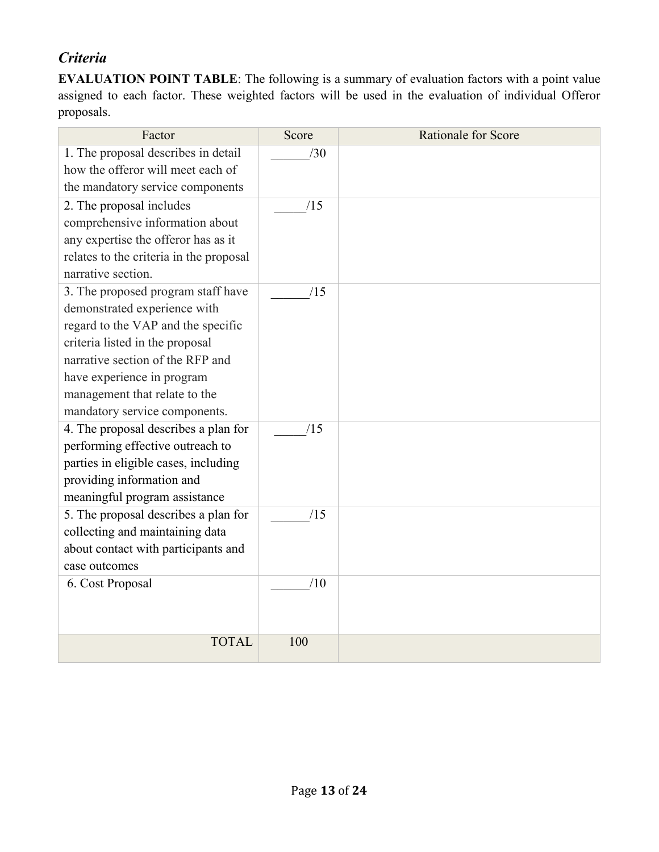# <span id="page-12-0"></span>*Criteria*

**EVALUATION POINT TABLE**: The following is a summary of evaluation factors with a point value assigned to each factor. These weighted factors will be used in the evaluation of individual Offeror proposals.

| Factor                                  | Score | <b>Rationale for Score</b> |
|-----------------------------------------|-------|----------------------------|
| 1. The proposal describes in detail     | /30   |                            |
| how the offeror will meet each of       |       |                            |
| the mandatory service components        |       |                            |
| 2. The proposal includes                | /15   |                            |
| comprehensive information about         |       |                            |
| any expertise the offeror has as it     |       |                            |
| relates to the criteria in the proposal |       |                            |
| narrative section.                      |       |                            |
| 3. The proposed program staff have      | /15   |                            |
| demonstrated experience with            |       |                            |
| regard to the VAP and the specific      |       |                            |
| criteria listed in the proposal         |       |                            |
| narrative section of the RFP and        |       |                            |
| have experience in program              |       |                            |
| management that relate to the           |       |                            |
| mandatory service components.           |       |                            |
| 4. The proposal describes a plan for    | /15   |                            |
| performing effective outreach to        |       |                            |
| parties in eligible cases, including    |       |                            |
| providing information and               |       |                            |
| meaningful program assistance           |       |                            |
| 5. The proposal describes a plan for    | /15   |                            |
| collecting and maintaining data         |       |                            |
| about contact with participants and     |       |                            |
| case outcomes                           |       |                            |
| 6. Cost Proposal                        | /10   |                            |
|                                         |       |                            |
|                                         |       |                            |
| <b>TOTAL</b>                            | 100   |                            |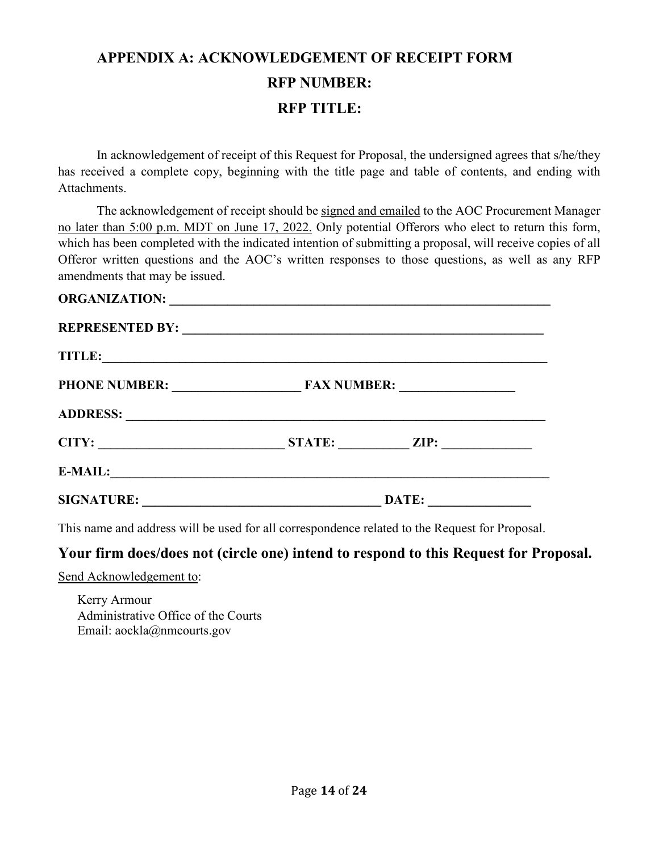# <span id="page-13-0"></span>**APPENDIX A: ACKNOWLEDGEMENT OF RECEIPT FORM RFP NUMBER: RFP TITLE:**

In acknowledgement of receipt of this Request for Proposal, the undersigned agrees that s/he/they has received a complete copy, beginning with the title page and table of contents, and ending with Attachments.

The acknowledgement of receipt should be signed and emailed to the AOC Procurement Manager no later than 5:00 p.m. MDT on June 17, 2022. Only potential Offerors who elect to return this form, which has been completed with the indicated intention of submitting a proposal, will receive copies of all Offeror written questions and the AOC's written responses to those questions, as well as any RFP amendments that may be issued.

|                   | PHONE NUMBER: FAX NUMBER: |
|-------------------|---------------------------|
|                   |                           |
|                   | STATE: ZIP:               |
|                   | $E-MAIL:$                 |
| <b>SIGNATURE:</b> | DATE:                     |

This name and address will be used for all correspondence related to the Request for Proposal.

### **Your firm does/does not (circle one) intend to respond to this Request for Proposal.**

Send Acknowledgement to:

Kerry Armour Administrative Office of the Courts Email: aockla@nmcourts.gov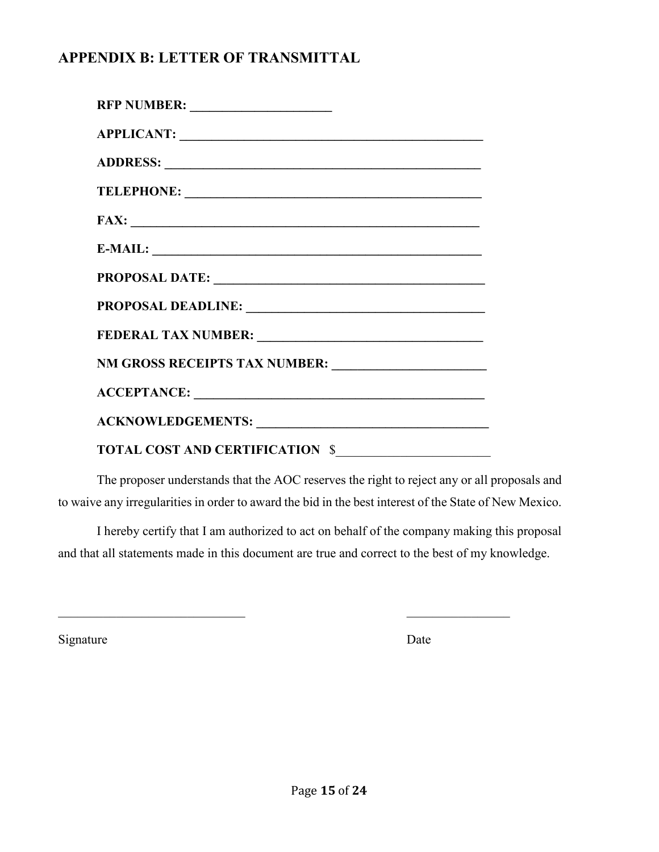# <span id="page-14-0"></span>**APPENDIX B: LETTER OF TRANSMITTAL**

| APPLICANT:                      |
|---------------------------------|
|                                 |
|                                 |
|                                 |
| $E-MAIL:$                       |
|                                 |
|                                 |
|                                 |
|                                 |
|                                 |
|                                 |
| TOTAL COST AND CERTIFICATION \$ |

The proposer understands that the AOC reserves the right to reject any or all proposals and to waive any irregularities in order to award the bid in the best interest of the State of New Mexico.

I hereby certify that I am authorized to act on behalf of the company making this proposal and that all statements made in this document are true and correct to the best of my knowledge.

 $\mathcal{L}_\text{max}$  , and the contract of the contract of the contract of the contract of the contract of the contract of the contract of the contract of the contract of the contract of the contract of the contract of the contr

Signature Date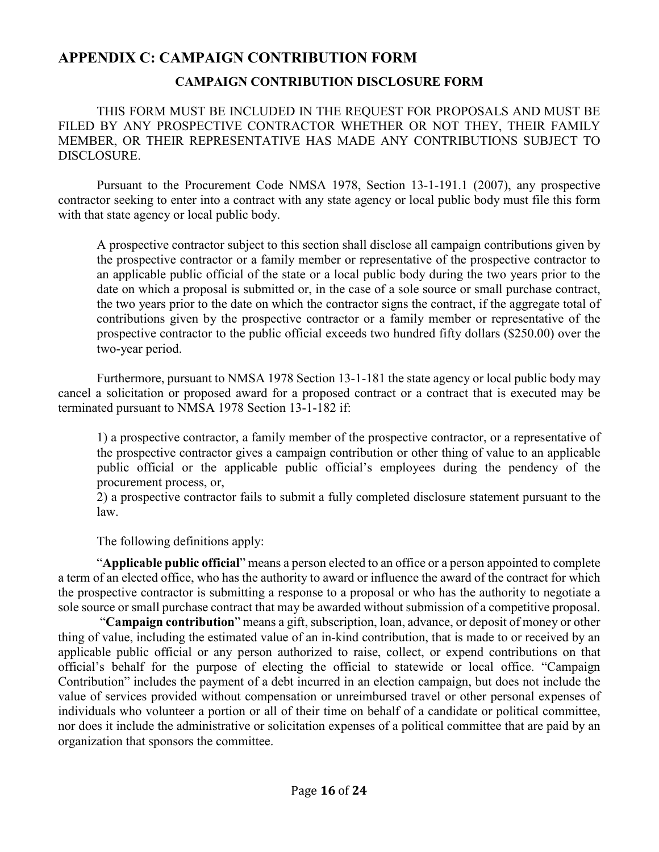### <span id="page-15-0"></span>**APPENDIX C: CAMPAIGN CONTRIBUTION FORM**

### **CAMPAIGN CONTRIBUTION DISCLOSURE FORM**

THIS FORM MUST BE INCLUDED IN THE REQUEST FOR PROPOSALS AND MUST BE FILED BY ANY PROSPECTIVE CONTRACTOR WHETHER OR NOT THEY, THEIR FAMILY MEMBER, OR THEIR REPRESENTATIVE HAS MADE ANY CONTRIBUTIONS SUBJECT TO DISCLOSURE.

Pursuant to the Procurement Code NMSA 1978, Section 13-1-191.1 (2007), any prospective contractor seeking to enter into a contract with any state agency or local public body must file this form with that state agency or local public body.

A prospective contractor subject to this section shall disclose all campaign contributions given by the prospective contractor or a family member or representative of the prospective contractor to an applicable public official of the state or a local public body during the two years prior to the date on which a proposal is submitted or, in the case of a sole source or small purchase contract, the two years prior to the date on which the contractor signs the contract, if the aggregate total of contributions given by the prospective contractor or a family member or representative of the prospective contractor to the public official exceeds two hundred fifty dollars (\$250.00) over the two-year period.

Furthermore, pursuant to NMSA 1978 Section 13-1-181 the state agency or local public body may cancel a solicitation or proposed award for a proposed contract or a contract that is executed may be terminated pursuant to NMSA 1978 Section 13-1-182 if:

1) a prospective contractor, a family member of the prospective contractor, or a representative of the prospective contractor gives a campaign contribution or other thing of value to an applicable public official or the applicable public official's employees during the pendency of the procurement process, or,

2) a prospective contractor fails to submit a fully completed disclosure statement pursuant to the law.

The following definitions apply:

"**Applicable public official**" means a person elected to an office or a person appointed to complete a term of an elected office, who has the authority to award or influence the award of the contract for which the prospective contractor is submitting a response to a proposal or who has the authority to negotiate a sole source or small purchase contract that may be awarded without submission of a competitive proposal.

"**Campaign contribution**" means a gift, subscription, loan, advance, or deposit of money or other thing of value, including the estimated value of an in-kind contribution, that is made to or received by an applicable public official or any person authorized to raise, collect, or expend contributions on that official's behalf for the purpose of electing the official to statewide or local office. "Campaign Contribution" includes the payment of a debt incurred in an election campaign, but does not include the value of services provided without compensation or unreimbursed travel or other personal expenses of individuals who volunteer a portion or all of their time on behalf of a candidate or political committee, nor does it include the administrative or solicitation expenses of a political committee that are paid by an organization that sponsors the committee.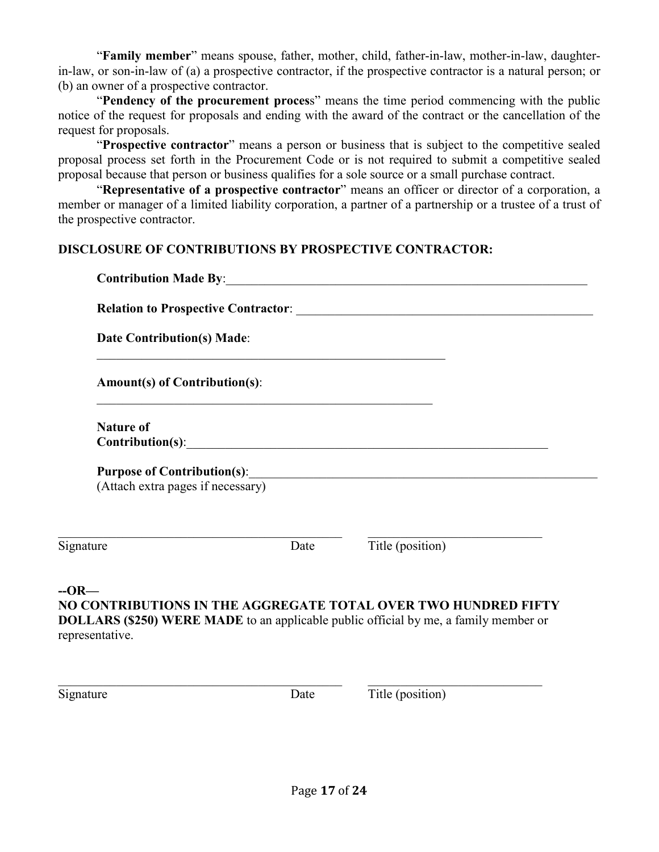"**Family member**" means spouse, father, mother, child, father-in-law, mother-in-law, daughterin-law, or son-in-law of (a) a prospective contractor, if the prospective contractor is a natural person; or (b) an owner of a prospective contractor.

"**Pendency of the procurement proces**s" means the time period commencing with the public notice of the request for proposals and ending with the award of the contract or the cancellation of the request for proposals.

"**Prospective contractor**" means a person or business that is subject to the competitive sealed proposal process set forth in the Procurement Code or is not required to submit a competitive sealed proposal because that person or business qualifies for a sole source or a small purchase contract.

"**Representative of a prospective contractor**" means an officer or director of a corporation, a member or manager of a limited liability corporation, a partner of a partnership or a trustee of a trust of the prospective contractor.

### **DISCLOSURE OF CONTRIBUTIONS BY PROSPECTIVE CONTRACTOR:**

|                                                                                                                                                                                            |                                                                                           | Contribution Made By: 1988 and 2008 and 2008 and 2010 and 2010 and 2010 and 2010 and 2010 and 2010 and 2010 and 2010 and 2010 and 2010 and 2010 and 2010 and 2010 and 2010 and 2010 and 2010 and 2010 and 2010 and 2010 and 20 |  |
|--------------------------------------------------------------------------------------------------------------------------------------------------------------------------------------------|-------------------------------------------------------------------------------------------|--------------------------------------------------------------------------------------------------------------------------------------------------------------------------------------------------------------------------------|--|
| <b>Date Contribution(s) Made:</b>                                                                                                                                                          |                                                                                           |                                                                                                                                                                                                                                |  |
| <b>Amount(s) of Contribution(s):</b>                                                                                                                                                       | the control of the control of the control of the control of the control of the control of |                                                                                                                                                                                                                                |  |
| <b>Nature of</b>                                                                                                                                                                           |                                                                                           | $\text{Contribution(s)}:\underline{\hspace{2.5cm}}$                                                                                                                                                                            |  |
| (Attach extra pages if necessary)                                                                                                                                                          |                                                                                           |                                                                                                                                                                                                                                |  |
| Signature                                                                                                                                                                                  | Date                                                                                      | Title (position)                                                                                                                                                                                                               |  |
| $-OR-$<br>NO CONTRIBUTIONS IN THE AGGREGATE TOTAL OVER TWO HUNDRED FIFTY<br><b>DOLLARS (\$250) WERE MADE</b> to an applicable public official by me, a family member or<br>representative. |                                                                                           |                                                                                                                                                                                                                                |  |

 $\_$ 

Signature Date Title (position)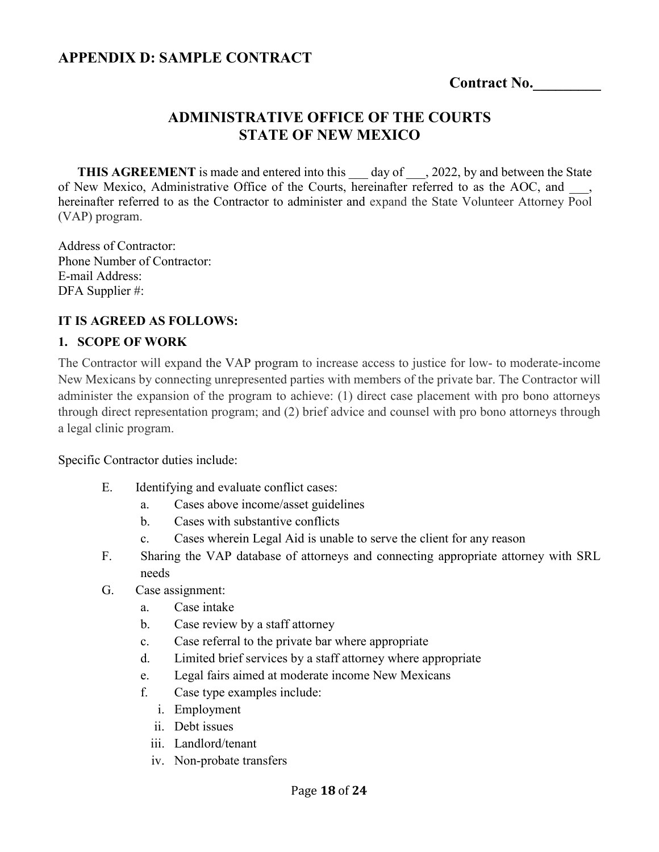### <span id="page-17-0"></span>**APPENDIX D: SAMPLE CONTRACT**

**Contract No.\_\_\_\_\_\_\_\_\_**

### **ADMINISTRATIVE OFFICE OF THE COURTS STATE OF NEW MEXICO**

**THIS AGREEMENT** is made and entered into this day of , 2022, by and between the State of New Mexico, Administrative Office of the Courts, hereinafter referred to as the AOC, and hereinafter referred to as the Contractor to administer and expand the State Volunteer Attorney Pool (VAP) program.

Address of Contractor: Phone Number of Contractor: E-mail Address: DFA Supplier #:

### **IT IS AGREED AS FOLLOWS:**

#### **1. SCOPE OF WORK**

The Contractor will expand the VAP program to increase access to justice for low- to moderate-income New Mexicans by connecting unrepresented parties with members of the private bar. The Contractor will administer the expansion of the program to achieve: (1) direct case placement with pro bono attorneys through direct representation program; and (2) brief advice and counsel with pro bono attorneys through a legal clinic program.

Specific Contractor duties include:

- E. Identifying and evaluate conflict cases:
	- a. Cases above income/asset guidelines
	- b. Cases with substantive conflicts
	- c. Cases wherein Legal Aid is unable to serve the client for any reason
- F. Sharing the VAP database of attorneys and connecting appropriate attorney with SRL needs
- G. Case assignment:
	- a. Case intake
	- b. Case review by a staff attorney
	- c. Case referral to the private bar where appropriate
	- d. Limited brief services by a staff attorney where appropriate
	- e. Legal fairs aimed at moderate income New Mexicans
	- f. Case type examples include:
		- i. Employment
		- ii. Debt issues
		- iii. Landlord/tenant
		- iv. Non-probate transfers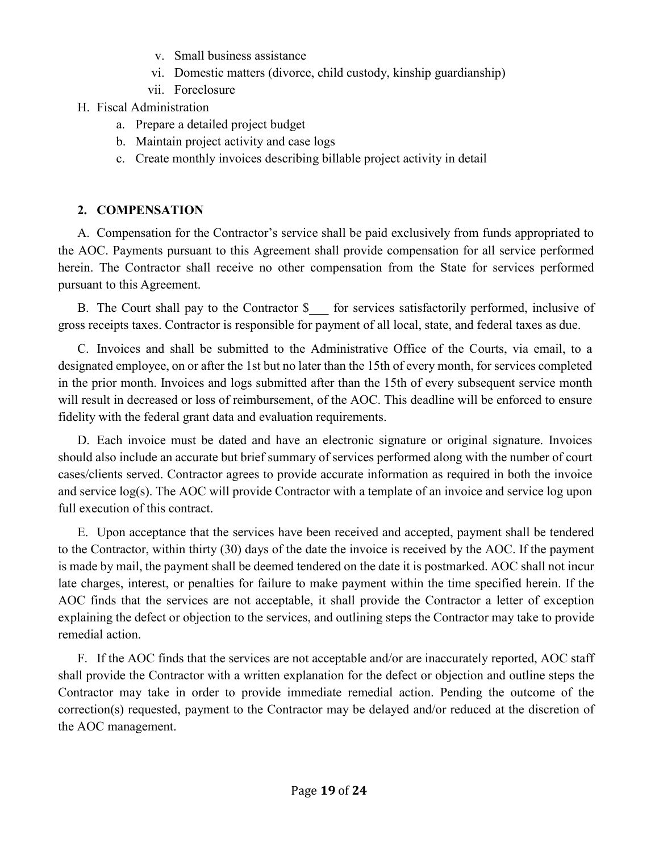- v. Small business assistance
- vi. Domestic matters (divorce, child custody, kinship guardianship)
- vii. Foreclosure
- H. Fiscal Administration
	- a. Prepare a detailed project budget
	- b. Maintain project activity and case logs
	- c. Create monthly invoices describing billable project activity in detail

# **2. COMPENSATION**

A. Compensation for the Contractor's service shall be paid exclusively from funds appropriated to the AOC. Payments pursuant to this Agreement shall provide compensation for all service performed herein. The Contractor shall receive no other compensation from the State for services performed pursuant to this Agreement.

B. The Court shall pay to the Contractor \$ \_\_ for services satisfactorily performed, inclusive of gross receipts taxes. Contractor is responsible for payment of all local, state, and federal taxes as due.

C. Invoices and shall be submitted to the Administrative Office of the Courts, via email, to a designated employee, on or after the 1st but no later than the 15th of every month, for services completed in the prior month. Invoices and logs submitted after than the 15th of every subsequent service month will result in decreased or loss of reimbursement, of the AOC. This deadline will be enforced to ensure fidelity with the federal grant data and evaluation requirements.

D. Each invoice must be dated and have an electronic signature or original signature. Invoices should also include an accurate but brief summary of services performed along with the number of court cases/clients served. Contractor agrees to provide accurate information as required in both the invoice and service log(s). The AOC will provide Contractor with a template of an invoice and service log upon full execution of this contract.

E. Upon acceptance that the services have been received and accepted, payment shall be tendered to the Contractor, within thirty (30) days of the date the invoice is received by the AOC. If the payment is made by mail, the payment shall be deemed tendered on the date it is postmarked. AOC shall not incur late charges, interest, or penalties for failure to make payment within the time specified herein. If the AOC finds that the services are not acceptable, it shall provide the Contractor a letter of exception explaining the defect or objection to the services, and outlining steps the Contractor may take to provide remedial action.

F. If the AOC finds that the services are not acceptable and/or are inaccurately reported, AOC staff shall provide the Contractor with a written explanation for the defect or objection and outline steps the Contractor may take in order to provide immediate remedial action. Pending the outcome of the correction(s) requested, payment to the Contractor may be delayed and/or reduced at the discretion of the AOC management.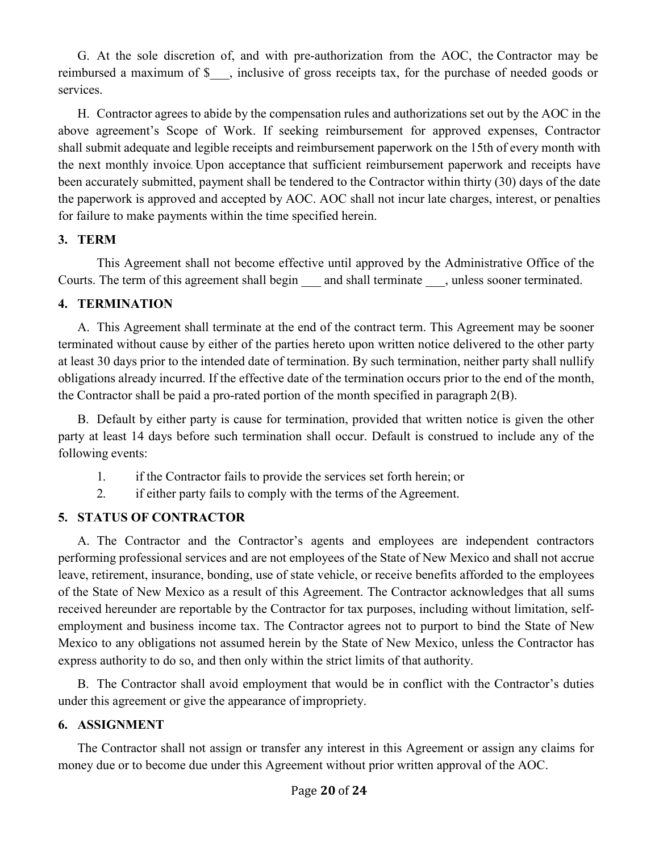G. At the sole discretion of, and with pre-authorization from the AOC, the Contractor may be reimbursed a maximum of \$\_\_\_, inclusive of gross receipts tax, for the purchase of needed goods or services.

H. Contractor agrees to abide by the compensation rules and authorizations set out by the AOC in the above agreement's Scope of Work. If seeking reimbursement for approved expenses, Contractor shall submit adequate and legible receipts and reimbursement paperwork on the 15th of every month with the next monthly invoice. Upon acceptance that sufficient reimbursement paperwork and receipts have been accurately submitted, payment shall be tendered to the Contractor within thirty (30) days of the date the paperwork is approved and accepted by AOC. AOC shall not incur late charges, interest, or penalties for failure to make payments within the time specified herein.

### **3. TERM**

This Agreement shall not become effective until approved by the Administrative Office of the Courts. The term of this agreement shall begin and shall terminate , unless sooner terminated.

### **4. TERMINATION**

A. This Agreement shall terminate at the end of the contract term. This Agreement may be sooner terminated without cause by either of the parties hereto upon written notice delivered to the other party at least 30 days prior to the intended date of termination. By such termination, neither party shall nullify obligations already incurred. If the effective date of the termination occurs prior to the end of the month, the Contractor shall be paid a pro-rated portion of the month specified in paragraph 2(B).

B. Default by either party is cause for termination, provided that written notice is given the other party at least 14 days before such termination shall occur. Default is construed to include any of the following events:

- 1. if the Contractor fails to provide the services set forth herein; or
- 2. if either party fails to comply with the terms of the Agreement.

### **5. STATUS OF CONTRACTOR**

A. The Contractor and the Contractor's agents and employees are independent contractors performing professional services and are not employees of the State of New Mexico and shall not accrue leave, retirement, insurance, bonding, use of state vehicle, or receive benefits afforded to the employees of the State of New Mexico as a result of this Agreement. The Contractor acknowledges that all sums received hereunder are reportable by the Contractor for tax purposes, including without limitation, selfemployment and business income tax. The Contractor agrees not to purport to bind the State of New Mexico to any obligations not assumed herein by the State of New Mexico, unless the Contractor has express authority to do so, and then only within the strict limits of that authority.

B. The Contractor shall avoid employment that would be in conflict with the Contractor's duties under this agreement or give the appearance of impropriety.

### **6. ASSIGNMENT**

The Contractor shall not assign or transfer any interest in this Agreement or assign any claims for money due or to become due under this Agreement without prior written approval of the AOC.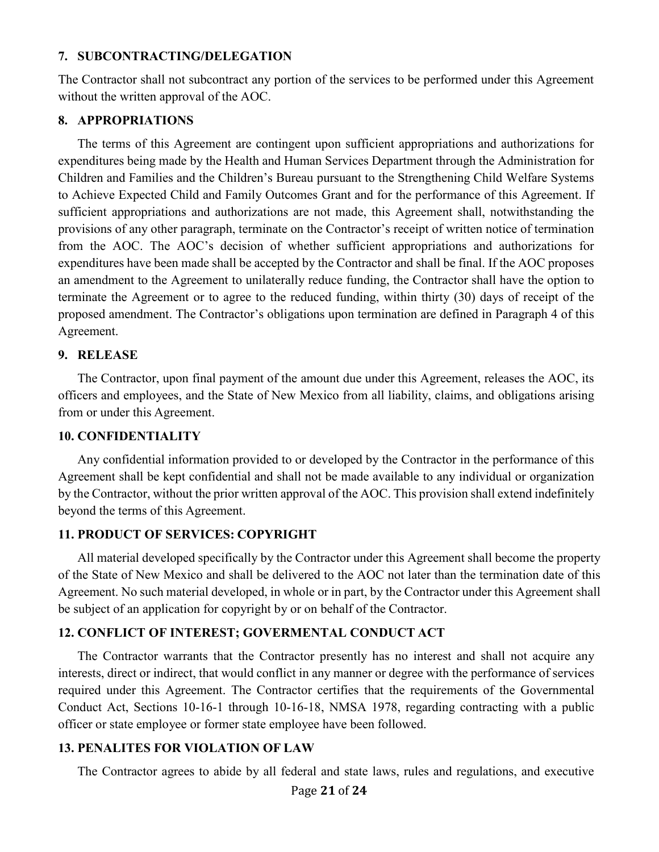#### **7. SUBCONTRACTING/DELEGATION**

The Contractor shall not subcontract any portion of the services to be performed under this Agreement without the written approval of the AOC.

#### **8. APPROPRIATIONS**

The terms of this Agreement are contingent upon sufficient appropriations and authorizations for expenditures being made by the Health and Human Services Department through the Administration for Children and Families and the Children's Bureau pursuant to the Strengthening Child Welfare Systems to Achieve Expected Child and Family Outcomes Grant and for the performance of this Agreement. If sufficient appropriations and authorizations are not made, this Agreement shall, notwithstanding the provisions of any other paragraph, terminate on the Contractor's receipt of written notice of termination from the AOC. The AOC's decision of whether sufficient appropriations and authorizations for expenditures have been made shall be accepted by the Contractor and shall be final. If the AOC proposes an amendment to the Agreement to unilaterally reduce funding, the Contractor shall have the option to terminate the Agreement or to agree to the reduced funding, within thirty (30) days of receipt of the proposed amendment. The Contractor's obligations upon termination are defined in Paragraph 4 of this Agreement.

### **9. RELEASE**

The Contractor, upon final payment of the amount due under this Agreement, releases the AOC, its officers and employees, and the State of New Mexico from all liability, claims, and obligations arising from or under this Agreement.

### **10. CONFIDENTIALITY**

Any confidential information provided to or developed by the Contractor in the performance of this Agreement shall be kept confidential and shall not be made available to any individual or organization by the Contractor, without the prior written approval of the AOC. This provision shall extend indefinitely beyond the terms of this Agreement.

### **11. PRODUCT OF SERVICES: COPYRIGHT**

All material developed specifically by the Contractor under this Agreement shall become the property of the State of New Mexico and shall be delivered to the AOC not later than the termination date of this Agreement. No such material developed, in whole or in part, by the Contractor under this Agreement shall be subject of an application for copyright by or on behalf of the Contractor.

### **12. CONFLICT OF INTEREST; GOVERMENTAL CONDUCT ACT**

The Contractor warrants that the Contractor presently has no interest and shall not acquire any interests, direct or indirect, that would conflict in any manner or degree with the performance of services required under this Agreement. The Contractor certifies that the requirements of the Governmental Conduct Act, Sections 10-16-1 through 10-16-18, NMSA 1978, regarding contracting with a public officer or state employee or former state employee have been followed.

### **13. PENALITES FOR VIOLATION OF LAW**

The Contractor agrees to abide by all federal and state laws, rules and regulations, and executive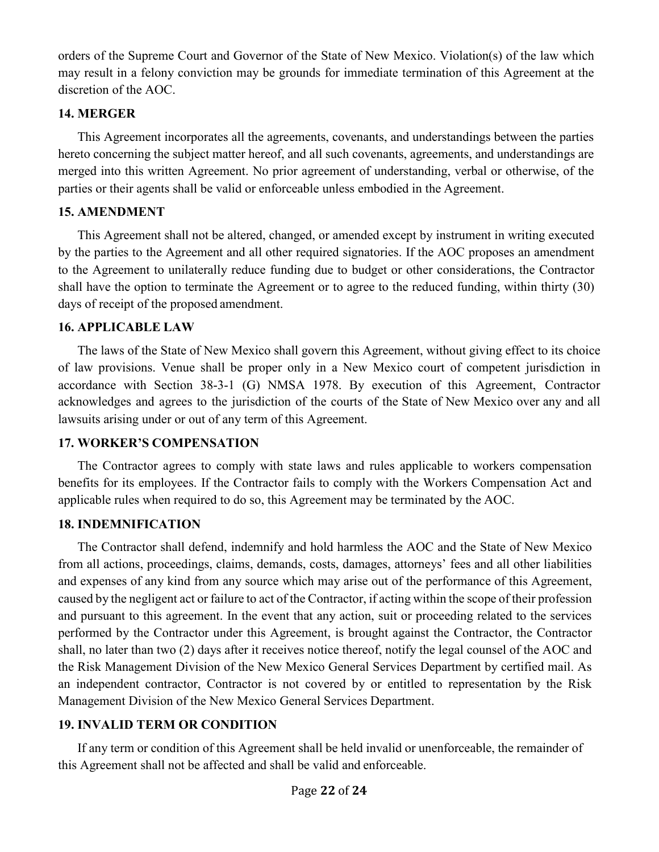orders of the Supreme Court and Governor of the State of New Mexico. Violation(s) of the law which may result in a felony conviction may be grounds for immediate termination of this Agreement at the discretion of the AOC.

### **14. MERGER**

This Agreement incorporates all the agreements, covenants, and understandings between the parties hereto concerning the subject matter hereof, and all such covenants, agreements, and understandings are merged into this written Agreement. No prior agreement of understanding, verbal or otherwise, of the parties or their agents shall be valid or enforceable unless embodied in the Agreement.

### **15. AMENDMENT**

This Agreement shall not be altered, changed, or amended except by instrument in writing executed by the parties to the Agreement and all other required signatories. If the AOC proposes an amendment to the Agreement to unilaterally reduce funding due to budget or other considerations, the Contractor shall have the option to terminate the Agreement or to agree to the reduced funding, within thirty (30) days of receipt of the proposed amendment.

### **16. APPLICABLE LAW**

The laws of the State of New Mexico shall govern this Agreement, without giving effect to its choice of law provisions. Venue shall be proper only in a New Mexico court of competent jurisdiction in accordance with Section 38-3-1 (G) NMSA 1978. By execution of this Agreement, Contractor acknowledges and agrees to the jurisdiction of the courts of the State of New Mexico over any and all lawsuits arising under or out of any term of this Agreement.

### **17. WORKER'S COMPENSATION**

The Contractor agrees to comply with state laws and rules applicable to workers compensation benefits for its employees. If the Contractor fails to comply with the Workers Compensation Act and applicable rules when required to do so, this Agreement may be terminated by the AOC.

### **18. INDEMNIFICATION**

The Contractor shall defend, indemnify and hold harmless the AOC and the State of New Mexico from all actions, proceedings, claims, demands, costs, damages, attorneys' fees and all other liabilities and expenses of any kind from any source which may arise out of the performance of this Agreement, caused by the negligent act or failure to act of the Contractor, if acting within the scope of their profession and pursuant to this agreement. In the event that any action, suit or proceeding related to the services performed by the Contractor under this Agreement, is brought against the Contractor, the Contractor shall, no later than two (2) days after it receives notice thereof, notify the legal counsel of the AOC and the Risk Management Division of the New Mexico General Services Department by certified mail. As an independent contractor, Contractor is not covered by or entitled to representation by the Risk Management Division of the New Mexico General Services Department.

### **19. INVALID TERM OR CONDITION**

If any term or condition of this Agreement shall be held invalid or unenforceable, the remainder of this Agreement shall not be affected and shall be valid and enforceable.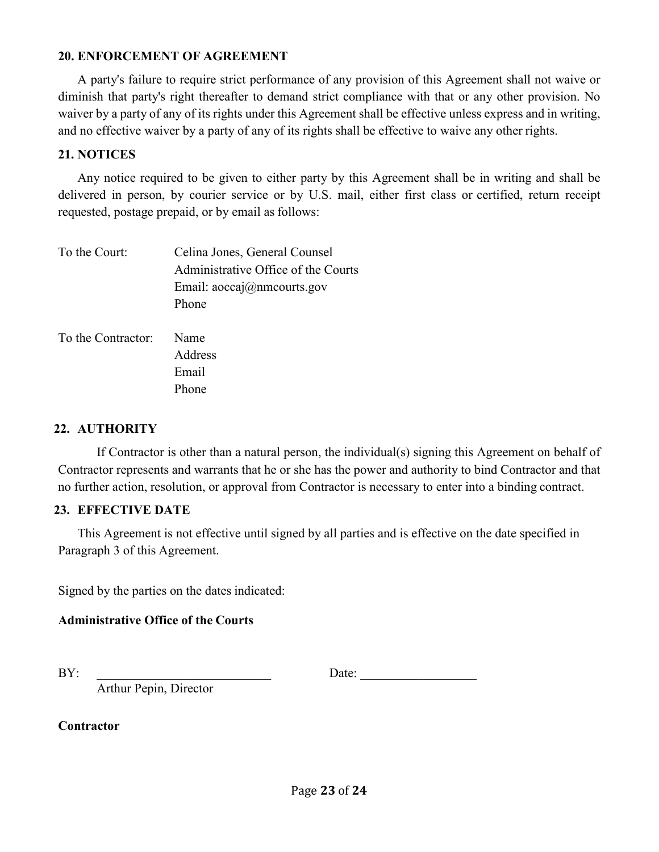#### **20. ENFORCEMENT OF AGREEMENT**

A party's failure to require strict performance of any provision of this Agreement shall not waive or diminish that party's right thereafter to demand strict compliance with that or any other provision. No waiver by a party of any of its rights under this Agreement shall be effective unless express and in writing, and no effective waiver by a party of any of its rights shall be effective to waive any other rights.

#### **21. NOTICES**

Any notice required to be given to either party by this Agreement shall be in writing and shall be delivered in person, by courier service or by U.S. mail, either first class or certified, return receipt requested, postage prepaid, or by email as follows:

| To the Court:      | Celina Jones, General Counsel        |  |
|--------------------|--------------------------------------|--|
|                    | Administrative Office of the Courts  |  |
|                    | Email: $aoccaj(\omega)$ nmcourts.gov |  |
|                    | Phone                                |  |
|                    |                                      |  |
| To the Contractor: | Name                                 |  |
|                    | Address                              |  |
|                    | Email                                |  |
|                    | Phone                                |  |

### **22. AUTHORITY**

If Contractor is other than a natural person, the individual(s) signing this Agreement on behalf of Contractor represents and warrants that he or she has the power and authority to bind Contractor and that no further action, resolution, or approval from Contractor is necessary to enter into a binding contract.

#### **23. EFFECTIVE DATE**

This Agreement is not effective until signed by all parties and is effective on the date specified in Paragraph 3 of this Agreement.

Signed by the parties on the dates indicated:

### **Administrative Office of the Courts**

BY: Date:

Arthur Pepin, Director

**Contractor**